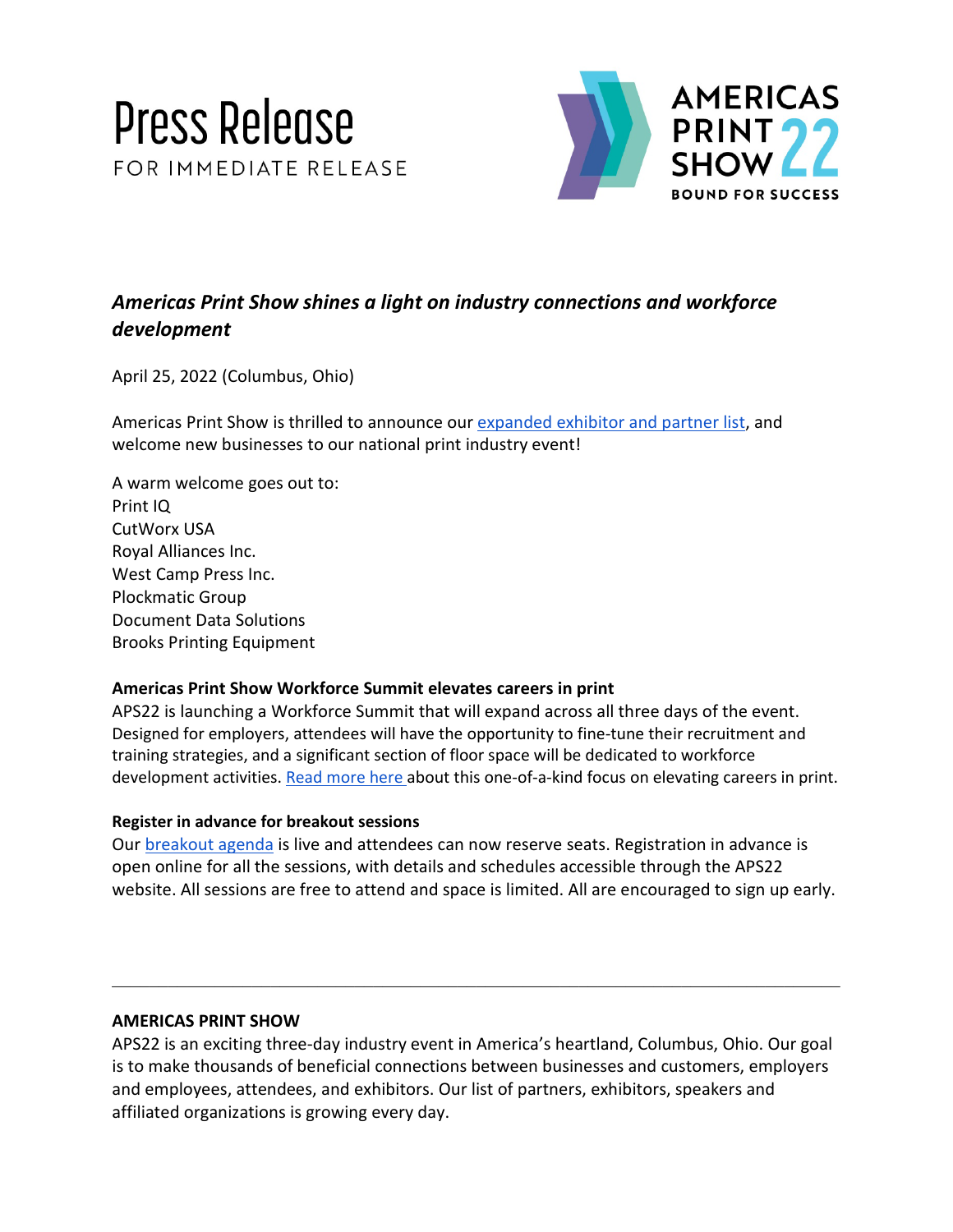



# *Americas Print Show shines a light on industry connections and workforce development*

April 25, 2022 (Columbus, Ohio)

Americas Print Show is thrilled to announce our [expanded exhibitor and partner list,](https://americasprintshow.com/exhibitors-and-partners/) and welcome new businesses to our national print industry event!

A warm welcome goes out to: Print IQ CutWorx USA Royal Alliances Inc. West Camp Press Inc. Plockmatic Group Document Data Solutions Brooks Printing Equipment

## **Americas Print Show Workforce Summit elevates careers in print**

APS22 is launching a Workforce Summit that will expand across all three days of the event. Designed for employers, attendees will have the opportunity to fine-tune their recruitment and training strategies, and a significant section of floor space will be dedicated to workforce development activities[. Read more here a](https://americasprintshow.com/press-release/we-are-bound-for-success-now-and-tomorrow/)bout this one-of-a-kind focus on elevating careers in print.

## **Register in advance for breakout sessions**

Our [breakout agenda](https://americasprintshow.com/why-attend/schedule/) is live and attendees can now reserve seats. Registration in advance is open online for all the sessions, with details and schedules accessible through the APS22 website. All sessions are free to attend and space is limited. All are encouraged to sign up early.

# **AMERICAS PRINT SHOW**

APS22 is an exciting three-day industry event in America's heartland, Columbus, Ohio. Our goal is to make thousands of beneficial connections between businesses and customers, employers and employees, attendees, and exhibitors. Our list of partners, exhibitors, speakers and affiliated organizations is growing every day.

\_\_\_\_\_\_\_\_\_\_\_\_\_\_\_\_\_\_\_\_\_\_\_\_\_\_\_\_\_\_\_\_\_\_\_\_\_\_\_\_\_\_\_\_\_\_\_\_\_\_\_\_\_\_\_\_\_\_\_\_\_\_\_\_\_\_\_\_\_\_\_\_\_\_\_\_\_\_